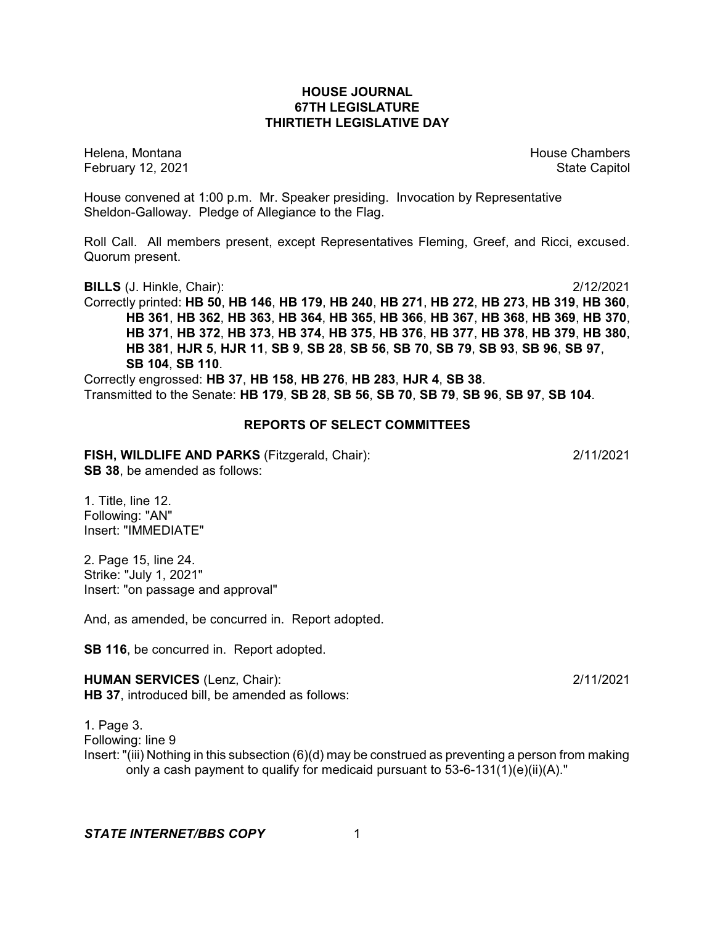# **HOUSE JOURNAL 67TH LEGISLATURE THIRTIETH LEGISLATIVE DAY**

February 12, 2021 **State Capitol** 

Helena, Montana House Chambers Chambers Chambers and House Chambers Chambers Chambers Chambers Chambers Chambers Chambers Chambers Chambers Chambers Chambers Chambers Chambers Chambers Chambers Chambers Chambers Chambers C

House convened at 1:00 p.m. Mr. Speaker presiding. Invocation by Representative Sheldon-Galloway. Pledge of Allegiance to the Flag.

Roll Call. All members present, except Representatives Fleming, Greef, and Ricci, excused. Quorum present.

**BILLS** (J. Hinkle, Chair): 2/12/2021 Correctly printed: **HB 50**, **HB 146**, **HB 179**, **HB 240**, **HB 271**, **HB 272**, **HB 273**, **HB 319**, **HB 360**, **HB 361**, **HB 362**, **HB 363**, **HB 364**, **HB 365**, **HB 366**, **HB 367**, **HB 368**, **HB 369**, **HB 370**, **HB 371**, **HB 372**, **HB 373**, **HB 374**, **HB 375**, **HB 376**, **HB 377**, **HB 378**, **HB 379**, **HB 380**, HB 381, HJR 5, HJR 11, SB 9, SB 28, SB 56, SB 70, SB 79, SB 93, SB 96, SB 97, **SB 104**, **SB 110**.

Correctly engrossed: **HB 37**, **HB 158**, **HB 276**, **HB 283**, **HJR 4**, **SB 38**. Transmitted to the Senate: **HB 179**, **SB 28**, **SB 56**, **SB 70**, **SB 79**, **SB 96**, **SB 97**, **SB 104**.

# **REPORTS OF SELECT COMMITTEES**

**FISH, WILDLIFE AND PARKS** (Fitzgerald, Chair): 2/11/2021 **SB 38**, be amended as follows:

1. Title, line 12. Following: "AN" Insert: "IMMEDIATE"

2. Page 15, line 24. Strike: "July 1, 2021" Insert: "on passage and approval"

And, as amended, be concurred in. Report adopted.

**SB 116**, be concurred in. Report adopted.

**HUMAN SERVICES** (Lenz, Chair): 2/11/2021 **HB 37**, introduced bill, be amended as follows:

1. Page 3. Following: line 9 Insert: "(iii) Nothing in this subsection (6)(d) may be construed as preventing a person from making only a cash payment to qualify for medicaid pursuant to  $53-6-131(1)(e)(ii)(A)."$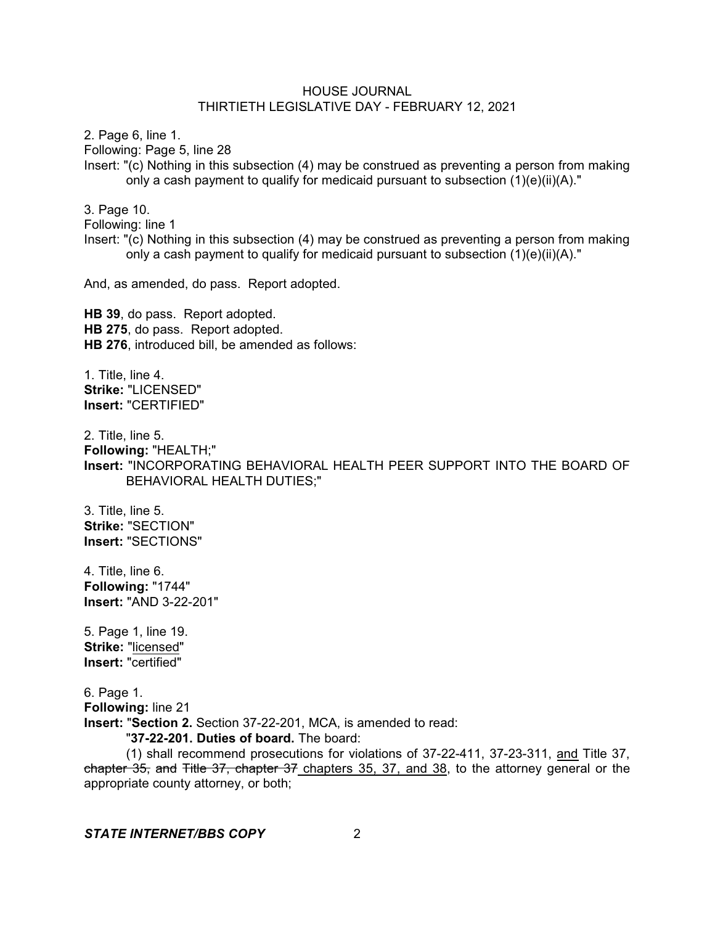2. Page 6, line 1.

Following: Page 5, line 28

Insert: "(c) Nothing in this subsection (4) may be construed as preventing a person from making only a cash payment to qualify for medicaid pursuant to subsection (1)(e)(ii)(A)."

3. Page 10.

Following: line 1

Insert: "(c) Nothing in this subsection (4) may be construed as preventing a person from making only a cash payment to qualify for medicaid pursuant to subsection  $(1)(e)(ii)(A)$ ."

And, as amended, do pass. Report adopted.

**HB 39**, do pass. Report adopted. **HB 275**, do pass. Report adopted. **HB 276**, introduced bill, be amended as follows:

1. Title, line 4. **Strike:** "LICENSED" **Insert:** "CERTIFIED"

2. Title, line 5. **Following:** "HEALTH;" **Insert:** "INCORPORATING BEHAVIORAL HEALTH PEER SUPPORT INTO THE BOARD OF BEHAVIORAL HEALTH DUTIES;"

3. Title, line 5. **Strike:** "SECTION" **Insert:** "SECTIONS"

4. Title, line 6. **Following:** "1744" **Insert:** "AND 3-22-201"

5. Page 1, line 19. **Strike:** "licensed" **Insert:** "certified"

6. Page 1. **Following:** line 21 **Insert:** "**Section 2.** Section 37-22-201, MCA, is amended to read:

"**37-22-201. Duties of board.** The board:

(1) shall recommend prosecutions for violations of 37-22-411, 37-23-311, and Title 37, chapter 35, and Title 37, chapter 37 chapters 35, 37, and 38, to the attorney general or the appropriate county attorney, or both;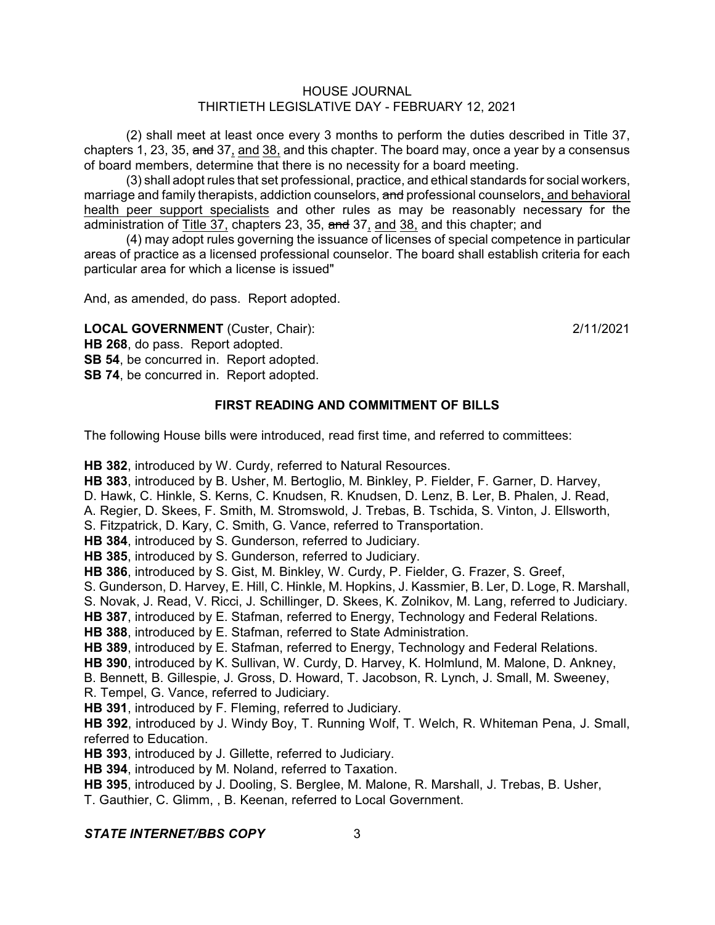(2) shall meet at least once every 3 months to perform the duties described in Title 37, chapters 1, 23, 35, and 37, and 38, and this chapter. The board may, once a year by a consensus of board members, determine that there is no necessity for a board meeting.

(3) shall adopt rules that set professional, practice, and ethical standards for social workers, marriage and family therapists, addiction counselors, and professional counselors, and behavioral health peer support specialists and other rules as may be reasonably necessary for the administration of Title 37, chapters 23, 35, and 37, and 38, and this chapter; and

(4) may adopt rules governing the issuance of licenses of special competence in particular areas of practice as a licensed professional counselor. The board shall establish criteria for each particular area for which a license is issued"

And, as amended, do pass. Report adopted.

**LOCAL GOVERNMENT** (Custer, Chair): 2/11/2021 **HB 268**, do pass. Report adopted. **SB 54**, be concurred in. Report adopted.

**SB 74**, be concurred in. Report adopted.

# **FIRST READING AND COMMITMENT OF BILLS**

The following House bills were introduced, read first time, and referred to committees:

**HB 382**, introduced by W. Curdy, referred to Natural Resources. **HB 383**, introduced by B. Usher, M. Bertoglio, M. Binkley, P. Fielder, F. Garner, D. Harvey, D. Hawk, C. Hinkle, S. Kerns, C. Knudsen, R. Knudsen, D. Lenz, B. Ler, B. Phalen, J. Read, A. Regier, D. Skees, F. Smith, M. Stromswold, J. Trebas, B. Tschida, S. Vinton, J. Ellsworth, S. Fitzpatrick, D. Kary, C. Smith, G. Vance, referred to Transportation. **HB 384**, introduced by S. Gunderson, referred to Judiciary. **HB 385**, introduced by S. Gunderson, referred to Judiciary. **HB 386**, introduced by S. Gist, M. Binkley, W. Curdy, P. Fielder, G. Frazer, S. Greef, S. Gunderson, D. Harvey, E. Hill, C. Hinkle, M. Hopkins, J. Kassmier, B. Ler, D. Loge, R. Marshall, S. Novak, J. Read, V. Ricci, J. Schillinger, D. Skees, K. Zolnikov, M. Lang, referred to Judiciary. **HB 387**, introduced by E. Stafman, referred to Energy, Technology and Federal Relations. **HB 388**, introduced by E. Stafman, referred to State Administration. **HB 389**, introduced by E. Stafman, referred to Energy, Technology and Federal Relations. **HB 390**, introduced by K. Sullivan, W. Curdy, D. Harvey, K. Holmlund, M. Malone, D. Ankney, B. Bennett, B. Gillespie, J. Gross, D. Howard, T. Jacobson, R. Lynch, J. Small, M. Sweeney, R. Tempel, G. Vance, referred to Judiciary. **HB 391**, introduced by F. Fleming, referred to Judiciary. **HB 392**, introduced by J. Windy Boy, T. Running Wolf, T. Welch, R. Whiteman Pena, J. Small, referred to Education. **HB 393**, introduced by J. Gillette, referred to Judiciary. **HB 394**, introduced by M. Noland, referred to Taxation. **HB 395**, introduced by J. Dooling, S. Berglee, M. Malone, R. Marshall, J. Trebas, B. Usher, T. Gauthier, C. Glimm, , B. Keenan, referred to Local Government.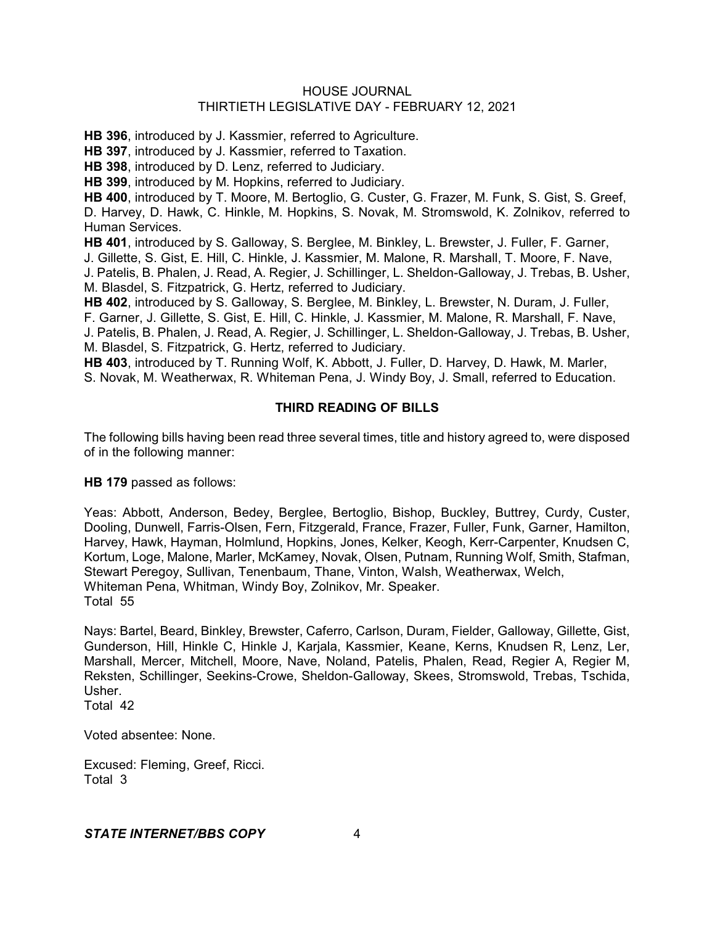**HB 396**, introduced by J. Kassmier, referred to Agriculture.

**HB 397**, introduced by J. Kassmier, referred to Taxation.

**HB 398**, introduced by D. Lenz, referred to Judiciary.

**HB 399**, introduced by M. Hopkins, referred to Judiciary.

**HB 400**, introduced by T. Moore, M. Bertoglio, G. Custer, G. Frazer, M. Funk, S. Gist, S. Greef, D. Harvey, D. Hawk, C. Hinkle, M. Hopkins, S. Novak, M. Stromswold, K. Zolnikov, referred to Human Services.

**HB 401**, introduced by S. Galloway, S. Berglee, M. Binkley, L. Brewster, J. Fuller, F. Garner,

J. Gillette, S. Gist, E. Hill, C. Hinkle, J. Kassmier, M. Malone, R. Marshall, T. Moore, F. Nave,

J. Patelis, B. Phalen, J. Read, A. Regier, J. Schillinger, L. Sheldon-Galloway, J. Trebas, B. Usher, M. Blasdel, S. Fitzpatrick, G. Hertz, referred to Judiciary.

**HB 402**, introduced by S. Galloway, S. Berglee, M. Binkley, L. Brewster, N. Duram, J. Fuller, F. Garner, J. Gillette, S. Gist, E. Hill, C. Hinkle, J. Kassmier, M. Malone, R. Marshall, F. Nave, J. Patelis, B. Phalen, J. Read, A. Regier, J. Schillinger, L. Sheldon-Galloway, J. Trebas, B. Usher, M. Blasdel, S. Fitzpatrick, G. Hertz, referred to Judiciary.

**HB 403**, introduced by T. Running Wolf, K. Abbott, J. Fuller, D. Harvey, D. Hawk, M. Marler, S. Novak, M. Weatherwax, R. Whiteman Pena, J. Windy Boy, J. Small, referred to Education.

# **THIRD READING OF BILLS**

The following bills having been read three several times, title and history agreed to, were disposed of in the following manner:

**HB 179** passed as follows:

Yeas: Abbott, Anderson, Bedey, Berglee, Bertoglio, Bishop, Buckley, Buttrey, Curdy, Custer, Dooling, Dunwell, Farris-Olsen, Fern, Fitzgerald, France, Frazer, Fuller, Funk, Garner, Hamilton, Harvey, Hawk, Hayman, Holmlund, Hopkins, Jones, Kelker, Keogh, Kerr-Carpenter, Knudsen C, Kortum, Loge, Malone, Marler, McKamey, Novak, Olsen, Putnam, Running Wolf, Smith, Stafman, Stewart Peregoy, Sullivan, Tenenbaum, Thane, Vinton, Walsh, Weatherwax, Welch, Whiteman Pena, Whitman, Windy Boy, Zolnikov, Mr. Speaker. Total 55

Nays: Bartel, Beard, Binkley, Brewster, Caferro, Carlson, Duram, Fielder, Galloway, Gillette, Gist, Gunderson, Hill, Hinkle C, Hinkle J, Karjala, Kassmier, Keane, Kerns, Knudsen R, Lenz, Ler, Marshall, Mercer, Mitchell, Moore, Nave, Noland, Patelis, Phalen, Read, Regier A, Regier M, Reksten, Schillinger, Seekins-Crowe, Sheldon-Galloway, Skees, Stromswold, Trebas, Tschida, Usher.

Total 42

Voted absentee: None.

Excused: Fleming, Greef, Ricci. Total 3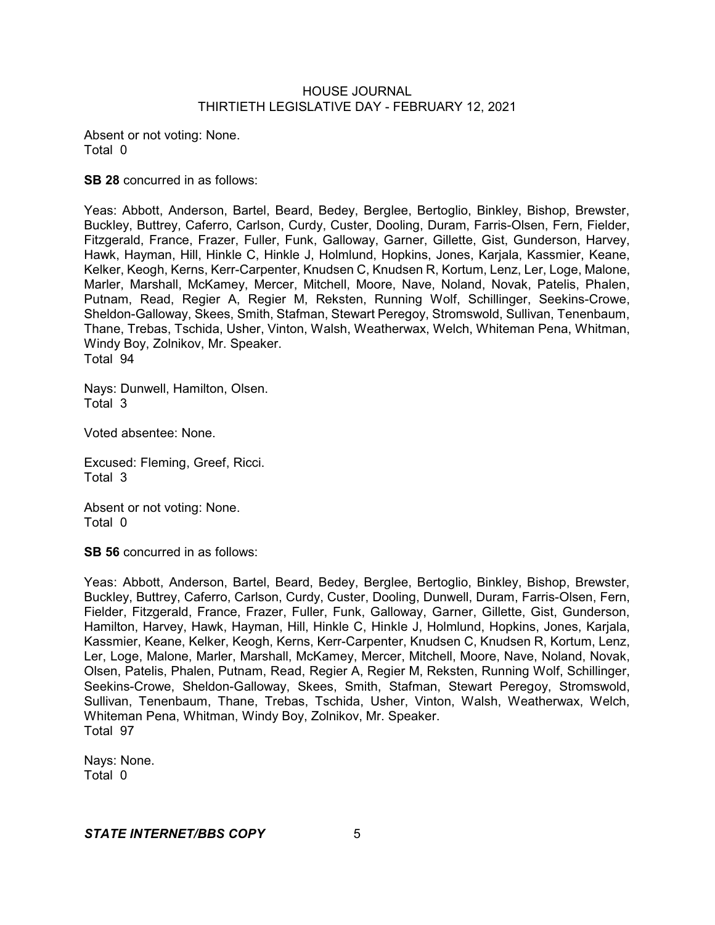Absent or not voting: None. Total 0

**SB 28** concurred in as follows:

Yeas: Abbott, Anderson, Bartel, Beard, Bedey, Berglee, Bertoglio, Binkley, Bishop, Brewster, Buckley, Buttrey, Caferro, Carlson, Curdy, Custer, Dooling, Duram, Farris-Olsen, Fern, Fielder, Fitzgerald, France, Frazer, Fuller, Funk, Galloway, Garner, Gillette, Gist, Gunderson, Harvey, Hawk, Hayman, Hill, Hinkle C, Hinkle J, Holmlund, Hopkins, Jones, Karjala, Kassmier, Keane, Kelker, Keogh, Kerns, Kerr-Carpenter, Knudsen C, Knudsen R, Kortum, Lenz, Ler, Loge, Malone, Marler, Marshall, McKamey, Mercer, Mitchell, Moore, Nave, Noland, Novak, Patelis, Phalen, Putnam, Read, Regier A, Regier M, Reksten, Running Wolf, Schillinger, Seekins-Crowe, Sheldon-Galloway, Skees, Smith, Stafman, Stewart Peregoy, Stromswold, Sullivan, Tenenbaum, Thane, Trebas, Tschida, Usher, Vinton, Walsh, Weatherwax, Welch, Whiteman Pena, Whitman, Windy Boy, Zolnikov, Mr. Speaker. Total 94

Nays: Dunwell, Hamilton, Olsen. Total 3

Voted absentee: None.

Excused: Fleming, Greef, Ricci. Total 3

Absent or not voting: None. Total 0

**SB 56** concurred in as follows:

Yeas: Abbott, Anderson, Bartel, Beard, Bedey, Berglee, Bertoglio, Binkley, Bishop, Brewster, Buckley, Buttrey, Caferro, Carlson, Curdy, Custer, Dooling, Dunwell, Duram, Farris-Olsen, Fern, Fielder, Fitzgerald, France, Frazer, Fuller, Funk, Galloway, Garner, Gillette, Gist, Gunderson, Hamilton, Harvey, Hawk, Hayman, Hill, Hinkle C, Hinkle J, Holmlund, Hopkins, Jones, Karjala, Kassmier, Keane, Kelker, Keogh, Kerns, Kerr-Carpenter, Knudsen C, Knudsen R, Kortum, Lenz, Ler, Loge, Malone, Marler, Marshall, McKamey, Mercer, Mitchell, Moore, Nave, Noland, Novak, Olsen, Patelis, Phalen, Putnam, Read, Regier A, Regier M, Reksten, Running Wolf, Schillinger, Seekins-Crowe, Sheldon-Galloway, Skees, Smith, Stafman, Stewart Peregoy, Stromswold, Sullivan, Tenenbaum, Thane, Trebas, Tschida, Usher, Vinton, Walsh, Weatherwax, Welch, Whiteman Pena, Whitman, Windy Boy, Zolnikov, Mr. Speaker. Total 97

Nays: None. Total 0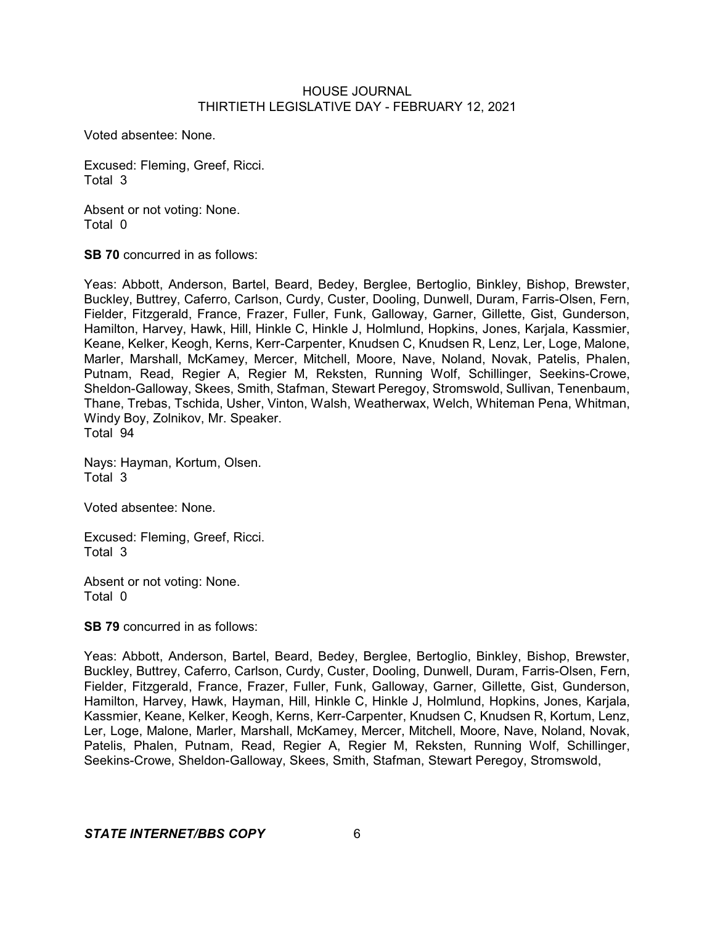Voted absentee: None.

Excused: Fleming, Greef, Ricci. Total 3

Absent or not voting: None. Total 0

**SB 70** concurred in as follows:

Yeas: Abbott, Anderson, Bartel, Beard, Bedey, Berglee, Bertoglio, Binkley, Bishop, Brewster, Buckley, Buttrey, Caferro, Carlson, Curdy, Custer, Dooling, Dunwell, Duram, Farris-Olsen, Fern, Fielder, Fitzgerald, France, Frazer, Fuller, Funk, Galloway, Garner, Gillette, Gist, Gunderson, Hamilton, Harvey, Hawk, Hill, Hinkle C, Hinkle J, Holmlund, Hopkins, Jones, Karjala, Kassmier, Keane, Kelker, Keogh, Kerns, Kerr-Carpenter, Knudsen C, Knudsen R, Lenz, Ler, Loge, Malone, Marler, Marshall, McKamey, Mercer, Mitchell, Moore, Nave, Noland, Novak, Patelis, Phalen, Putnam, Read, Regier A, Regier M, Reksten, Running Wolf, Schillinger, Seekins-Crowe, Sheldon-Galloway, Skees, Smith, Stafman, Stewart Peregoy, Stromswold, Sullivan, Tenenbaum, Thane, Trebas, Tschida, Usher, Vinton, Walsh, Weatherwax, Welch, Whiteman Pena, Whitman, Windy Boy, Zolnikov, Mr. Speaker. Total 94

Nays: Hayman, Kortum, Olsen. Total 3

Voted absentee: None.

Excused: Fleming, Greef, Ricci. Total 3

Absent or not voting: None. Total 0

**SB 79** concurred in as follows:

Yeas: Abbott, Anderson, Bartel, Beard, Bedey, Berglee, Bertoglio, Binkley, Bishop, Brewster, Buckley, Buttrey, Caferro, Carlson, Curdy, Custer, Dooling, Dunwell, Duram, Farris-Olsen, Fern, Fielder, Fitzgerald, France, Frazer, Fuller, Funk, Galloway, Garner, Gillette, Gist, Gunderson, Hamilton, Harvey, Hawk, Hayman, Hill, Hinkle C, Hinkle J, Holmlund, Hopkins, Jones, Karjala, Kassmier, Keane, Kelker, Keogh, Kerns, Kerr-Carpenter, Knudsen C, Knudsen R, Kortum, Lenz, Ler, Loge, Malone, Marler, Marshall, McKamey, Mercer, Mitchell, Moore, Nave, Noland, Novak, Patelis, Phalen, Putnam, Read, Regier A, Regier M, Reksten, Running Wolf, Schillinger, Seekins-Crowe, Sheldon-Galloway, Skees, Smith, Stafman, Stewart Peregoy, Stromswold,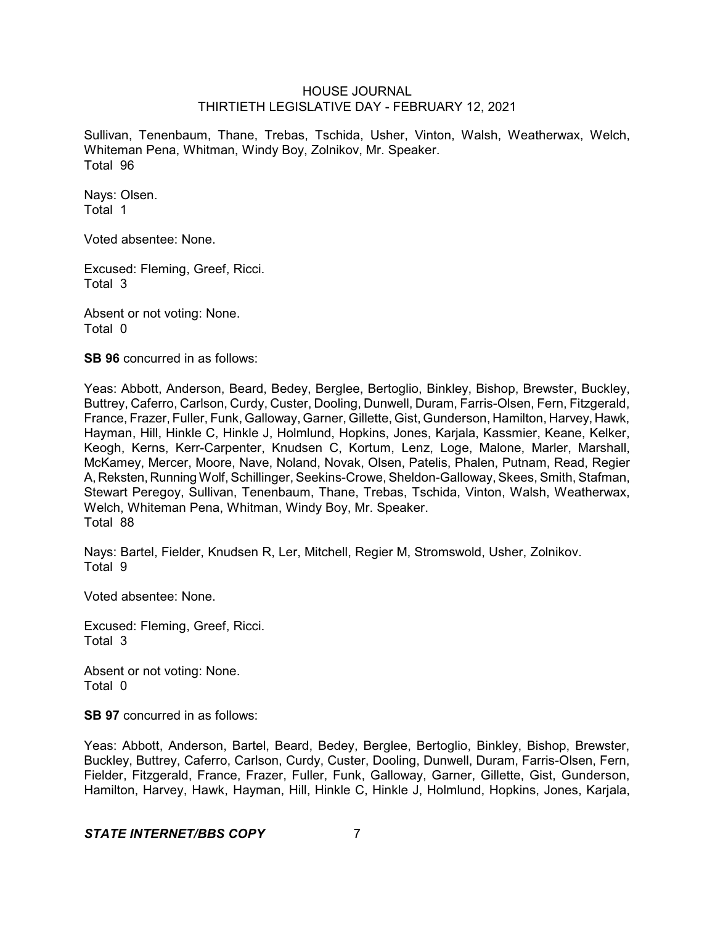Sullivan, Tenenbaum, Thane, Trebas, Tschida, Usher, Vinton, Walsh, Weatherwax, Welch, Whiteman Pena, Whitman, Windy Boy, Zolnikov, Mr. Speaker. Total 96

Nays: Olsen. Total 1

Voted absentee: None.

Excused: Fleming, Greef, Ricci. Total 3

Absent or not voting: None. Total 0

**SB 96** concurred in as follows:

Yeas: Abbott, Anderson, Beard, Bedey, Berglee, Bertoglio, Binkley, Bishop, Brewster, Buckley, Buttrey, Caferro, Carlson, Curdy, Custer, Dooling, Dunwell, Duram, Farris-Olsen, Fern, Fitzgerald, France, Frazer, Fuller, Funk, Galloway, Garner, Gillette, Gist, Gunderson, Hamilton, Harvey, Hawk, Hayman, Hill, Hinkle C, Hinkle J, Holmlund, Hopkins, Jones, Karjala, Kassmier, Keane, Kelker, Keogh, Kerns, Kerr-Carpenter, Knudsen C, Kortum, Lenz, Loge, Malone, Marler, Marshall, McKamey, Mercer, Moore, Nave, Noland, Novak, Olsen, Patelis, Phalen, Putnam, Read, Regier A, Reksten, Running Wolf, Schillinger, Seekins-Crowe, Sheldon-Galloway, Skees, Smith, Stafman, Stewart Peregoy, Sullivan, Tenenbaum, Thane, Trebas, Tschida, Vinton, Walsh, Weatherwax, Welch, Whiteman Pena, Whitman, Windy Boy, Mr. Speaker. Total 88

Nays: Bartel, Fielder, Knudsen R, Ler, Mitchell, Regier M, Stromswold, Usher, Zolnikov. Total 9

Voted absentee: None.

Excused: Fleming, Greef, Ricci. Total 3

Absent or not voting: None. Total 0

**SB 97** concurred in as follows:

Yeas: Abbott, Anderson, Bartel, Beard, Bedey, Berglee, Bertoglio, Binkley, Bishop, Brewster, Buckley, Buttrey, Caferro, Carlson, Curdy, Custer, Dooling, Dunwell, Duram, Farris-Olsen, Fern, Fielder, Fitzgerald, France, Frazer, Fuller, Funk, Galloway, Garner, Gillette, Gist, Gunderson, Hamilton, Harvey, Hawk, Hayman, Hill, Hinkle C, Hinkle J, Holmlund, Hopkins, Jones, Karjala,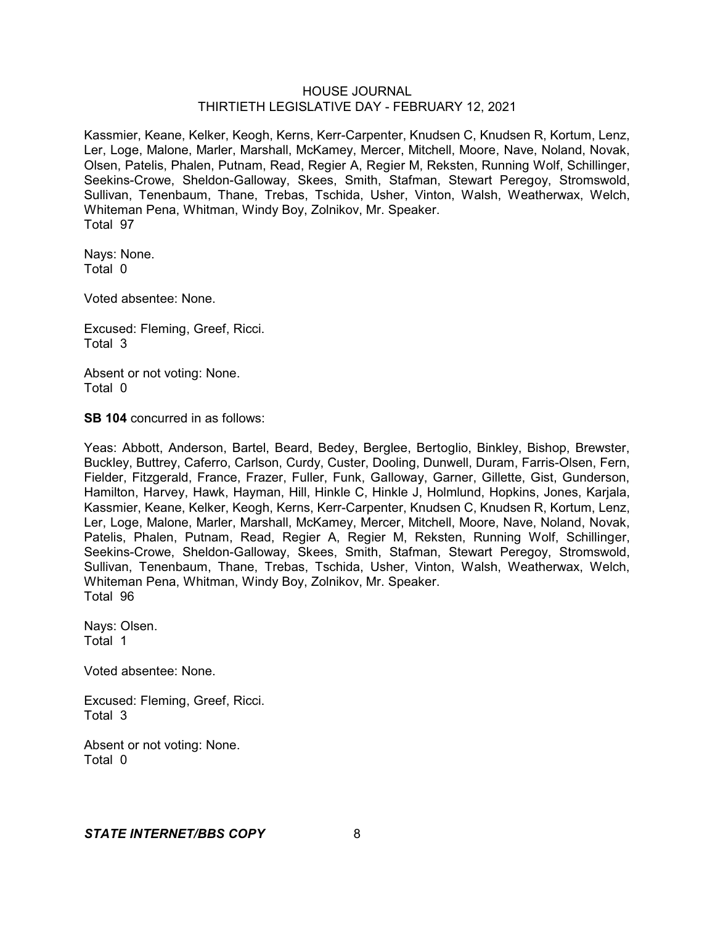Kassmier, Keane, Kelker, Keogh, Kerns, Kerr-Carpenter, Knudsen C, Knudsen R, Kortum, Lenz, Ler, Loge, Malone, Marler, Marshall, McKamey, Mercer, Mitchell, Moore, Nave, Noland, Novak, Olsen, Patelis, Phalen, Putnam, Read, Regier A, Regier M, Reksten, Running Wolf, Schillinger, Seekins-Crowe, Sheldon-Galloway, Skees, Smith, Stafman, Stewart Peregoy, Stromswold, Sullivan, Tenenbaum, Thane, Trebas, Tschida, Usher, Vinton, Walsh, Weatherwax, Welch, Whiteman Pena, Whitman, Windy Boy, Zolnikov, Mr. Speaker. Total 97

Nays: None. Total 0

Voted absentee: None.

Excused: Fleming, Greef, Ricci. Total 3

Absent or not voting: None. Total 0

**SB 104** concurred in as follows:

Yeas: Abbott, Anderson, Bartel, Beard, Bedey, Berglee, Bertoglio, Binkley, Bishop, Brewster, Buckley, Buttrey, Caferro, Carlson, Curdy, Custer, Dooling, Dunwell, Duram, Farris-Olsen, Fern, Fielder, Fitzgerald, France, Frazer, Fuller, Funk, Galloway, Garner, Gillette, Gist, Gunderson, Hamilton, Harvey, Hawk, Hayman, Hill, Hinkle C, Hinkle J, Holmlund, Hopkins, Jones, Karjala, Kassmier, Keane, Kelker, Keogh, Kerns, Kerr-Carpenter, Knudsen C, Knudsen R, Kortum, Lenz, Ler, Loge, Malone, Marler, Marshall, McKamey, Mercer, Mitchell, Moore, Nave, Noland, Novak, Patelis, Phalen, Putnam, Read, Regier A, Regier M, Reksten, Running Wolf, Schillinger, Seekins-Crowe, Sheldon-Galloway, Skees, Smith, Stafman, Stewart Peregoy, Stromswold, Sullivan, Tenenbaum, Thane, Trebas, Tschida, Usher, Vinton, Walsh, Weatherwax, Welch, Whiteman Pena, Whitman, Windy Boy, Zolnikov, Mr. Speaker. Total 96

Nays: Olsen. Total 1

Voted absentee: None.

Excused: Fleming, Greef, Ricci. Total 3

Absent or not voting: None. Total 0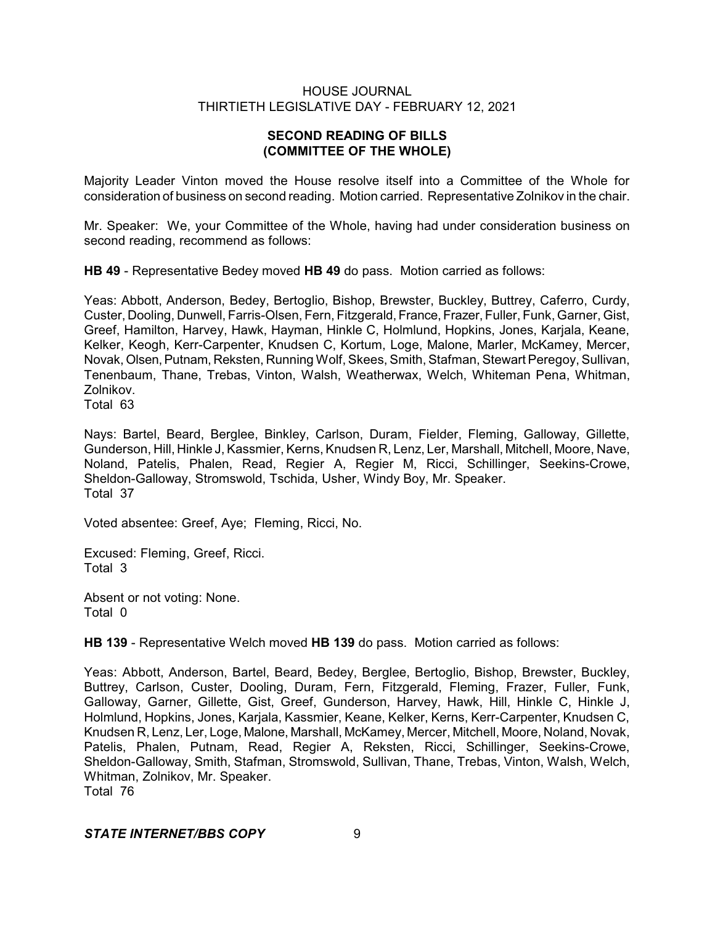# **SECOND READING OF BILLS (COMMITTEE OF THE WHOLE)**

Majority Leader Vinton moved the House resolve itself into a Committee of the Whole for consideration of business on second reading. Motion carried. Representative Zolnikov in the chair.

Mr. Speaker: We, your Committee of the Whole, having had under consideration business on second reading, recommend as follows:

**HB 49** - Representative Bedey moved **HB 49** do pass. Motion carried as follows:

Yeas: Abbott, Anderson, Bedey, Bertoglio, Bishop, Brewster, Buckley, Buttrey, Caferro, Curdy, Custer, Dooling, Dunwell, Farris-Olsen, Fern, Fitzgerald, France, Frazer, Fuller, Funk, Garner, Gist, Greef, Hamilton, Harvey, Hawk, Hayman, Hinkle C, Holmlund, Hopkins, Jones, Karjala, Keane, Kelker, Keogh, Kerr-Carpenter, Knudsen C, Kortum, Loge, Malone, Marler, McKamey, Mercer, Novak, Olsen,Putnam, Reksten, Running Wolf, Skees, Smith, Stafman, Stewart Peregoy, Sullivan, Tenenbaum, Thane, Trebas, Vinton, Walsh, Weatherwax, Welch, Whiteman Pena, Whitman, Zolnikov.

Total 63

Nays: Bartel, Beard, Berglee, Binkley, Carlson, Duram, Fielder, Fleming, Galloway, Gillette, Gunderson, Hill, Hinkle J, Kassmier, Kerns, Knudsen R, Lenz, Ler, Marshall, Mitchell, Moore, Nave, Noland, Patelis, Phalen, Read, Regier A, Regier M, Ricci, Schillinger, Seekins-Crowe, Sheldon-Galloway, Stromswold, Tschida, Usher, Windy Boy, Mr. Speaker. Total 37

Voted absentee: Greef, Aye; Fleming, Ricci, No.

Excused: Fleming, Greef, Ricci. Total 3

Absent or not voting: None. Total 0

**HB 139** - Representative Welch moved **HB 139** do pass. Motion carried as follows:

Yeas: Abbott, Anderson, Bartel, Beard, Bedey, Berglee, Bertoglio, Bishop, Brewster, Buckley, Buttrey, Carlson, Custer, Dooling, Duram, Fern, Fitzgerald, Fleming, Frazer, Fuller, Funk, Galloway, Garner, Gillette, Gist, Greef, Gunderson, Harvey, Hawk, Hill, Hinkle C, Hinkle J, Holmlund, Hopkins, Jones, Karjala, Kassmier, Keane, Kelker, Kerns, Kerr-Carpenter, Knudsen C, Knudsen R, Lenz, Ler, Loge, Malone, Marshall, McKamey, Mercer, Mitchell, Moore, Noland, Novak, Patelis, Phalen, Putnam, Read, Regier A, Reksten, Ricci, Schillinger, Seekins-Crowe, Sheldon-Galloway, Smith, Stafman, Stromswold, Sullivan, Thane, Trebas, Vinton, Walsh, Welch, Whitman, Zolnikov, Mr. Speaker. Total 76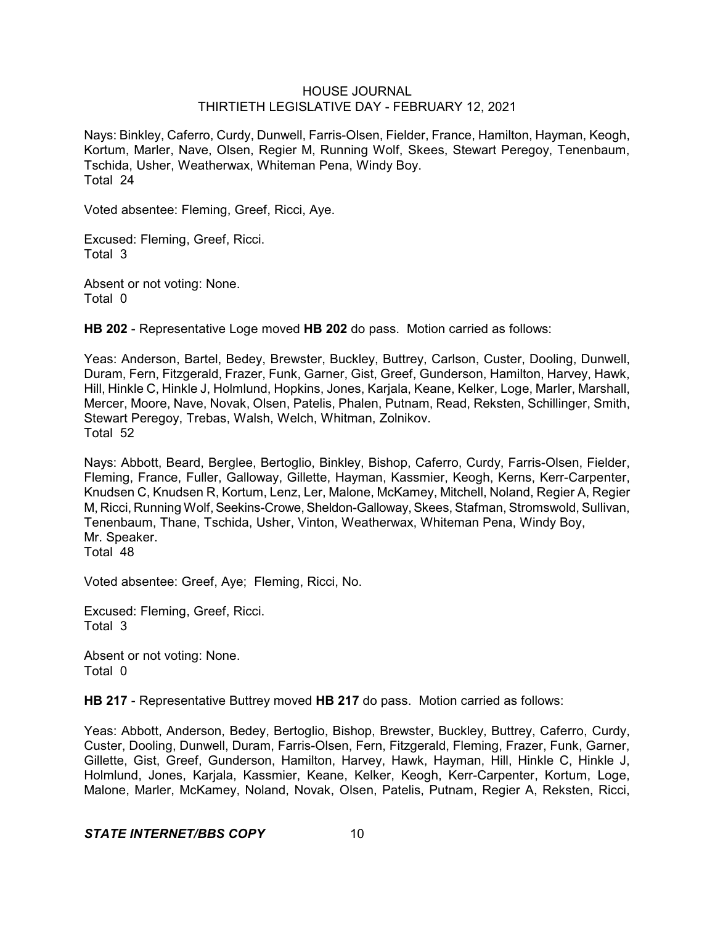Nays: Binkley, Caferro, Curdy, Dunwell, Farris-Olsen, Fielder, France, Hamilton, Hayman, Keogh, Kortum, Marler, Nave, Olsen, Regier M, Running Wolf, Skees, Stewart Peregoy, Tenenbaum, Tschida, Usher, Weatherwax, Whiteman Pena, Windy Boy. Total 24

Voted absentee: Fleming, Greef, Ricci, Aye.

Excused: Fleming, Greef, Ricci. Total 3

Absent or not voting: None. Total 0

**HB 202** - Representative Loge moved **HB 202** do pass. Motion carried as follows:

Yeas: Anderson, Bartel, Bedey, Brewster, Buckley, Buttrey, Carlson, Custer, Dooling, Dunwell, Duram, Fern, Fitzgerald, Frazer, Funk, Garner, Gist, Greef, Gunderson, Hamilton, Harvey, Hawk, Hill, Hinkle C, Hinkle J, Holmlund, Hopkins, Jones, Karjala, Keane, Kelker, Loge, Marler, Marshall, Mercer, Moore, Nave, Novak, Olsen, Patelis, Phalen, Putnam, Read, Reksten, Schillinger, Smith, Stewart Peregoy, Trebas, Walsh, Welch, Whitman, Zolnikov. Total 52

Nays: Abbott, Beard, Berglee, Bertoglio, Binkley, Bishop, Caferro, Curdy, Farris-Olsen, Fielder, Fleming, France, Fuller, Galloway, Gillette, Hayman, Kassmier, Keogh, Kerns, Kerr-Carpenter, Knudsen C, Knudsen R, Kortum, Lenz, Ler, Malone, McKamey, Mitchell, Noland, Regier A, Regier M, Ricci, Running Wolf,Seekins-Crowe,Sheldon-Galloway,Skees, Stafman, Stromswold, Sullivan, Tenenbaum, Thane, Tschida, Usher, Vinton, Weatherwax, Whiteman Pena, Windy Boy, Mr. Speaker. Total 48

Voted absentee: Greef, Aye; Fleming, Ricci, No.

Excused: Fleming, Greef, Ricci. Total 3

Absent or not voting: None. Total 0

**HB 217** - Representative Buttrey moved **HB 217** do pass. Motion carried as follows:

Yeas: Abbott, Anderson, Bedey, Bertoglio, Bishop, Brewster, Buckley, Buttrey, Caferro, Curdy, Custer, Dooling, Dunwell, Duram, Farris-Olsen, Fern, Fitzgerald, Fleming, Frazer, Funk, Garner, Gillette, Gist, Greef, Gunderson, Hamilton, Harvey, Hawk, Hayman, Hill, Hinkle C, Hinkle J, Holmlund, Jones, Karjala, Kassmier, Keane, Kelker, Keogh, Kerr-Carpenter, Kortum, Loge, Malone, Marler, McKamey, Noland, Novak, Olsen, Patelis, Putnam, Regier A, Reksten, Ricci,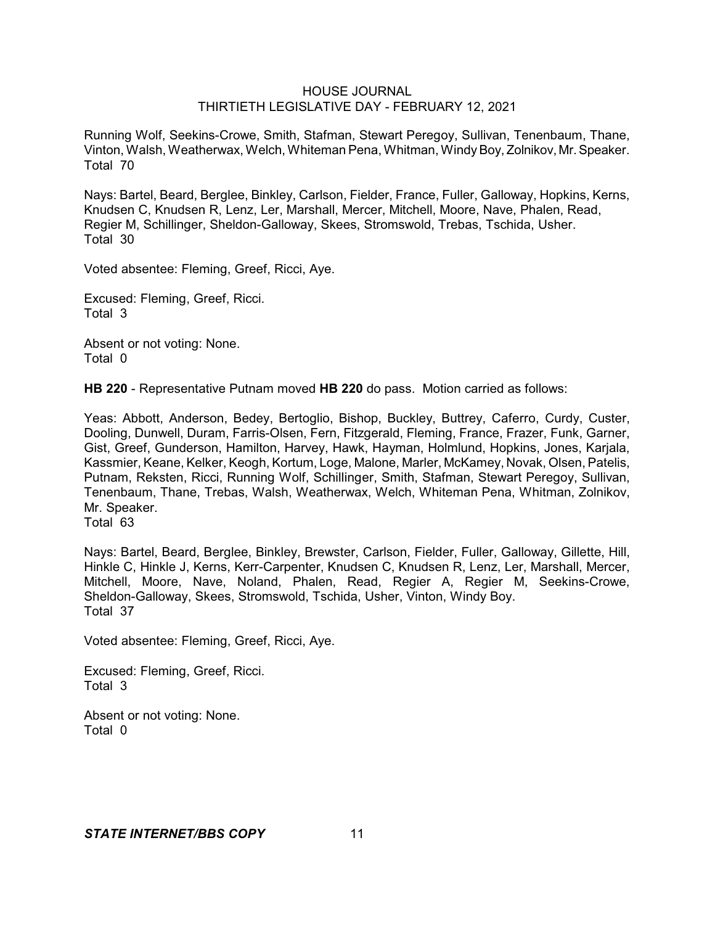Running Wolf, Seekins-Crowe, Smith, Stafman, Stewart Peregoy, Sullivan, Tenenbaum, Thane, Vinton, Walsh, Weatherwax, Welch, Whiteman Pena, Whitman, WindyBoy, Zolnikov, Mr.Speaker. Total 70

Nays: Bartel, Beard, Berglee, Binkley, Carlson, Fielder, France, Fuller, Galloway, Hopkins, Kerns, Knudsen C, Knudsen R, Lenz, Ler, Marshall, Mercer, Mitchell, Moore, Nave, Phalen, Read, Regier M, Schillinger, Sheldon-Galloway, Skees, Stromswold, Trebas, Tschida, Usher. Total 30

Voted absentee: Fleming, Greef, Ricci, Aye.

Excused: Fleming, Greef, Ricci. Total 3

Absent or not voting: None. Total 0

**HB 220** - Representative Putnam moved **HB 220** do pass. Motion carried as follows:

Yeas: Abbott, Anderson, Bedey, Bertoglio, Bishop, Buckley, Buttrey, Caferro, Curdy, Custer, Dooling, Dunwell, Duram, Farris-Olsen, Fern, Fitzgerald, Fleming, France, Frazer, Funk, Garner, Gist, Greef, Gunderson, Hamilton, Harvey, Hawk, Hayman, Holmlund, Hopkins, Jones, Karjala, Kassmier, Keane, Kelker, Keogh, Kortum, Loge, Malone, Marler, McKamey, Novak, Olsen, Patelis, Putnam, Reksten, Ricci, Running Wolf, Schillinger, Smith, Stafman, Stewart Peregoy, Sullivan, Tenenbaum, Thane, Trebas, Walsh, Weatherwax, Welch, Whiteman Pena, Whitman, Zolnikov, Mr. Speaker.

Total 63

Nays: Bartel, Beard, Berglee, Binkley, Brewster, Carlson, Fielder, Fuller, Galloway, Gillette, Hill, Hinkle C, Hinkle J, Kerns, Kerr-Carpenter, Knudsen C, Knudsen R, Lenz, Ler, Marshall, Mercer, Mitchell, Moore, Nave, Noland, Phalen, Read, Regier A, Regier M, Seekins-Crowe, Sheldon-Galloway, Skees, Stromswold, Tschida, Usher, Vinton, Windy Boy. Total 37

Voted absentee: Fleming, Greef, Ricci, Aye.

Excused: Fleming, Greef, Ricci. Total 3

Absent or not voting: None. Total 0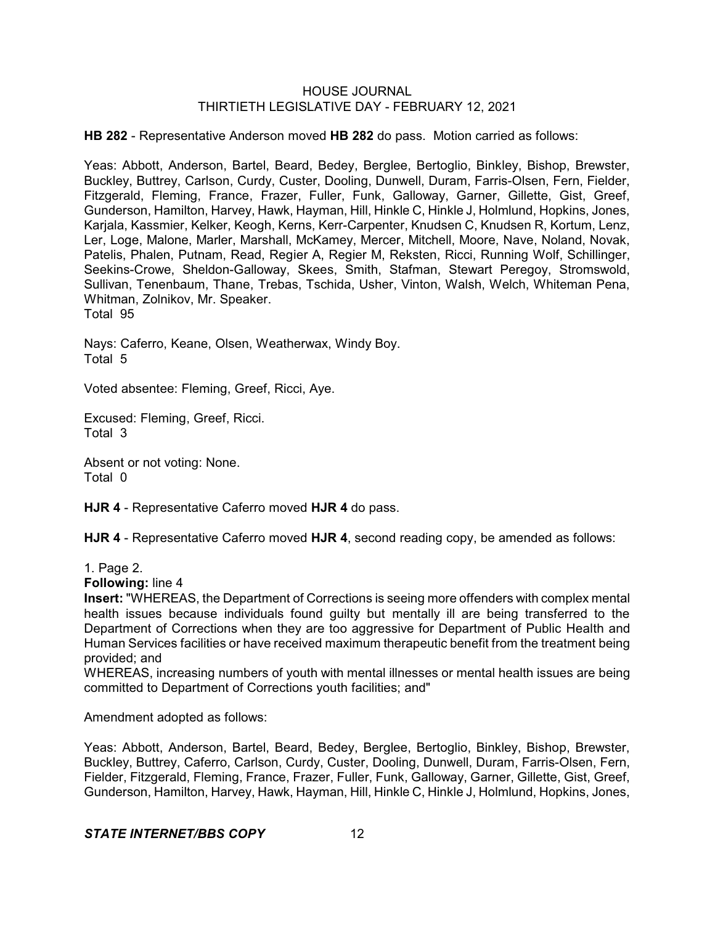**HB 282** - Representative Anderson moved **HB 282** do pass. Motion carried as follows:

Yeas: Abbott, Anderson, Bartel, Beard, Bedey, Berglee, Bertoglio, Binkley, Bishop, Brewster, Buckley, Buttrey, Carlson, Curdy, Custer, Dooling, Dunwell, Duram, Farris-Olsen, Fern, Fielder, Fitzgerald, Fleming, France, Frazer, Fuller, Funk, Galloway, Garner, Gillette, Gist, Greef, Gunderson, Hamilton, Harvey, Hawk, Hayman, Hill, Hinkle C, Hinkle J, Holmlund, Hopkins, Jones, Karjala, Kassmier, Kelker, Keogh, Kerns, Kerr-Carpenter, Knudsen C, Knudsen R, Kortum, Lenz, Ler, Loge, Malone, Marler, Marshall, McKamey, Mercer, Mitchell, Moore, Nave, Noland, Novak, Patelis, Phalen, Putnam, Read, Regier A, Regier M, Reksten, Ricci, Running Wolf, Schillinger, Seekins-Crowe, Sheldon-Galloway, Skees, Smith, Stafman, Stewart Peregoy, Stromswold, Sullivan, Tenenbaum, Thane, Trebas, Tschida, Usher, Vinton, Walsh, Welch, Whiteman Pena, Whitman, Zolnikov, Mr. Speaker.

Total 95

Nays: Caferro, Keane, Olsen, Weatherwax, Windy Boy. Total 5

Voted absentee: Fleming, Greef, Ricci, Aye.

Excused: Fleming, Greef, Ricci. Total 3

Absent or not voting: None. Total 0

**HJR 4** - Representative Caferro moved **HJR 4** do pass.

**HJR 4** - Representative Caferro moved **HJR 4**, second reading copy, be amended as follows:

1. Page 2.

**Following:** line 4

**Insert:** "WHEREAS, the Department of Corrections is seeing more offenders with complex mental health issues because individuals found guilty but mentally ill are being transferred to the Department of Corrections when they are too aggressive for Department of Public Health and Human Services facilities or have received maximum therapeutic benefit from the treatment being provided; and

WHEREAS, increasing numbers of youth with mental illnesses or mental health issues are being committed to Department of Corrections youth facilities; and"

Amendment adopted as follows:

Yeas: Abbott, Anderson, Bartel, Beard, Bedey, Berglee, Bertoglio, Binkley, Bishop, Brewster, Buckley, Buttrey, Caferro, Carlson, Curdy, Custer, Dooling, Dunwell, Duram, Farris-Olsen, Fern, Fielder, Fitzgerald, Fleming, France, Frazer, Fuller, Funk, Galloway, Garner, Gillette, Gist, Greef, Gunderson, Hamilton, Harvey, Hawk, Hayman, Hill, Hinkle C, Hinkle J, Holmlund, Hopkins, Jones,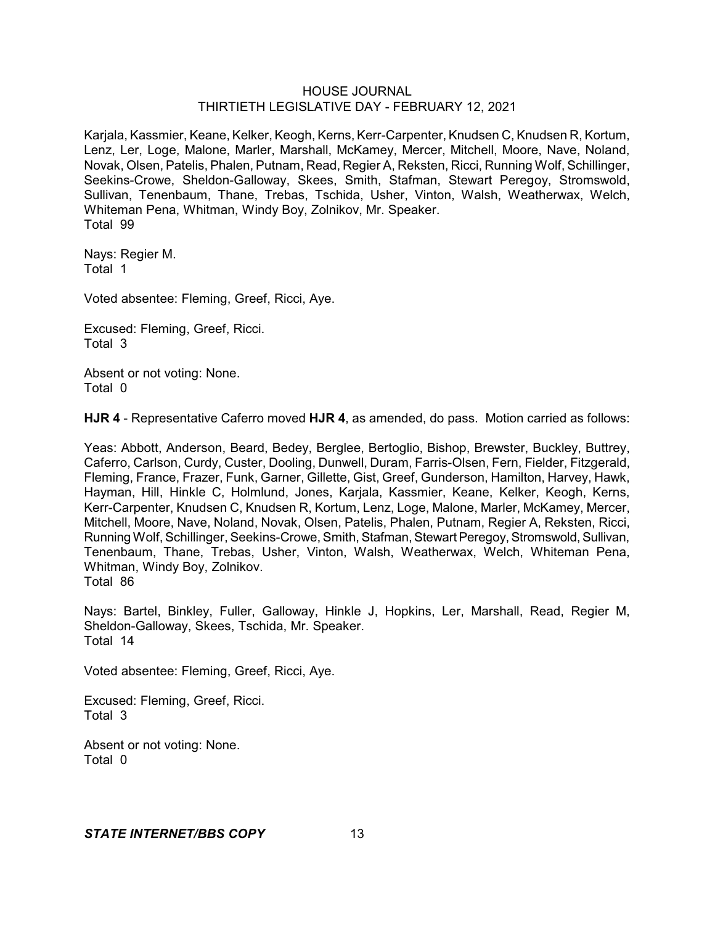Karjala, Kassmier, Keane, Kelker, Keogh, Kerns, Kerr-Carpenter, Knudsen C, Knudsen R, Kortum, Lenz, Ler, Loge, Malone, Marler, Marshall, McKamey, Mercer, Mitchell, Moore, Nave, Noland, Novak, Olsen, Patelis, Phalen, Putnam, Read, Regier A, Reksten, Ricci, Running Wolf, Schillinger, Seekins-Crowe, Sheldon-Galloway, Skees, Smith, Stafman, Stewart Peregoy, Stromswold, Sullivan, Tenenbaum, Thane, Trebas, Tschida, Usher, Vinton, Walsh, Weatherwax, Welch, Whiteman Pena, Whitman, Windy Boy, Zolnikov, Mr. Speaker. Total 99

Nays: Regier M. Total 1

Voted absentee: Fleming, Greef, Ricci, Aye.

Excused: Fleming, Greef, Ricci. Total 3

Absent or not voting: None. Total 0

**HJR 4** - Representative Caferro moved **HJR 4**, as amended, do pass. Motion carried as follows:

Yeas: Abbott, Anderson, Beard, Bedey, Berglee, Bertoglio, Bishop, Brewster, Buckley, Buttrey, Caferro, Carlson, Curdy, Custer, Dooling, Dunwell, Duram, Farris-Olsen, Fern, Fielder, Fitzgerald, Fleming, France, Frazer, Funk, Garner, Gillette, Gist, Greef, Gunderson, Hamilton, Harvey, Hawk, Hayman, Hill, Hinkle C, Holmlund, Jones, Karjala, Kassmier, Keane, Kelker, Keogh, Kerns, Kerr-Carpenter, Knudsen C, Knudsen R, Kortum, Lenz, Loge, Malone, Marler, McKamey, Mercer, Mitchell, Moore, Nave, Noland, Novak, Olsen, Patelis, Phalen, Putnam, Regier A, Reksten, Ricci, Running Wolf, Schillinger, Seekins-Crowe, Smith, Stafman, Stewart Peregoy, Stromswold, Sullivan, Tenenbaum, Thane, Trebas, Usher, Vinton, Walsh, Weatherwax, Welch, Whiteman Pena, Whitman, Windy Boy, Zolnikov. Total 86

Nays: Bartel, Binkley, Fuller, Galloway, Hinkle J, Hopkins, Ler, Marshall, Read, Regier M, Sheldon-Galloway, Skees, Tschida, Mr. Speaker. Total 14

Voted absentee: Fleming, Greef, Ricci, Aye.

Excused: Fleming, Greef, Ricci. Total 3

Absent or not voting: None. Total 0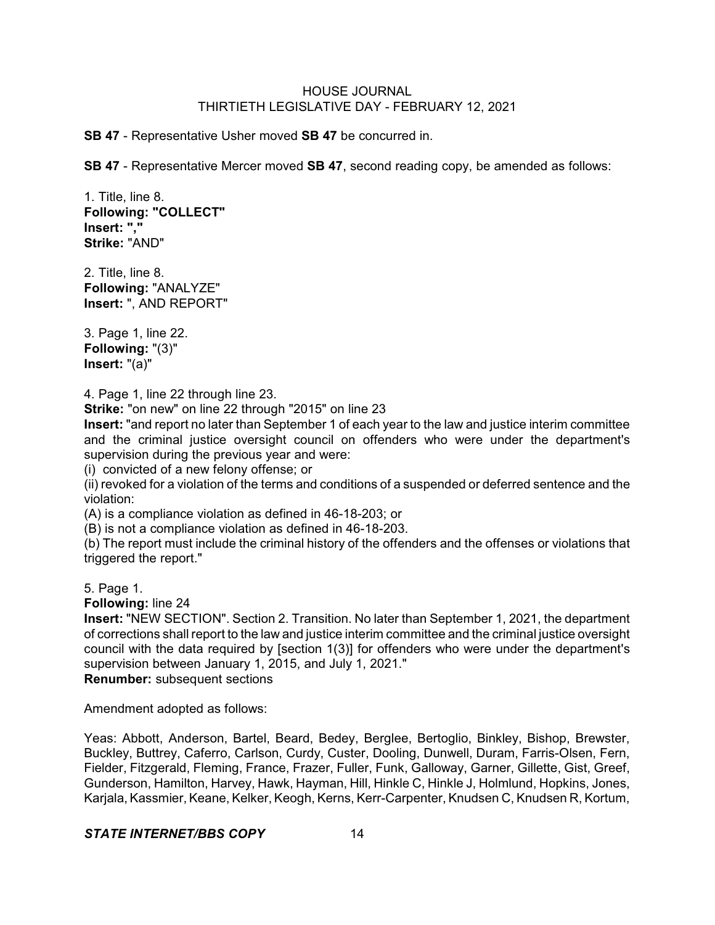**SB 47** - Representative Usher moved **SB 47** be concurred in.

**SB 47** - Representative Mercer moved **SB 47**, second reading copy, be amended as follows:

1. Title, line 8. **Following: "COLLECT" Insert: "," Strike:** "AND"

2. Title, line 8. **Following:** "ANALYZE" **Insert:** ", AND REPORT"

3. Page 1, line 22. **Following:** "(3)" **Insert:** "(a)"

4. Page 1, line 22 through line 23.

**Strike:** "on new" on line 22 through "2015" on line 23

**Insert:** "and report no later than September 1 of each year to the law and justice interim committee and the criminal justice oversight council on offenders who were under the department's supervision during the previous year and were:

(i) convicted of a new felony offense; or

(ii) revoked for a violation of the terms and conditions of a suspended or deferred sentence and the violation:

(A) is a compliance violation as defined in 46-18-203; or

(B) is not a compliance violation as defined in 46-18-203.

(b) The report must include the criminal history of the offenders and the offenses or violations that triggered the report."

5. Page 1.

**Following:** line 24

**Insert:** "NEW SECTION". Section 2. Transition. No later than September 1, 2021, the department of corrections shall report to the law and justice interim committee and the criminal justice oversight council with the data required by [section 1(3)] for offenders who were under the department's supervision between January 1, 2015, and July 1, 2021."

**Renumber:** subsequent sections

Amendment adopted as follows:

Yeas: Abbott, Anderson, Bartel, Beard, Bedey, Berglee, Bertoglio, Binkley, Bishop, Brewster, Buckley, Buttrey, Caferro, Carlson, Curdy, Custer, Dooling, Dunwell, Duram, Farris-Olsen, Fern, Fielder, Fitzgerald, Fleming, France, Frazer, Fuller, Funk, Galloway, Garner, Gillette, Gist, Greef, Gunderson, Hamilton, Harvey, Hawk, Hayman, Hill, Hinkle C, Hinkle J, Holmlund, Hopkins, Jones, Karjala, Kassmier, Keane, Kelker, Keogh, Kerns, Kerr-Carpenter, Knudsen C, Knudsen R, Kortum,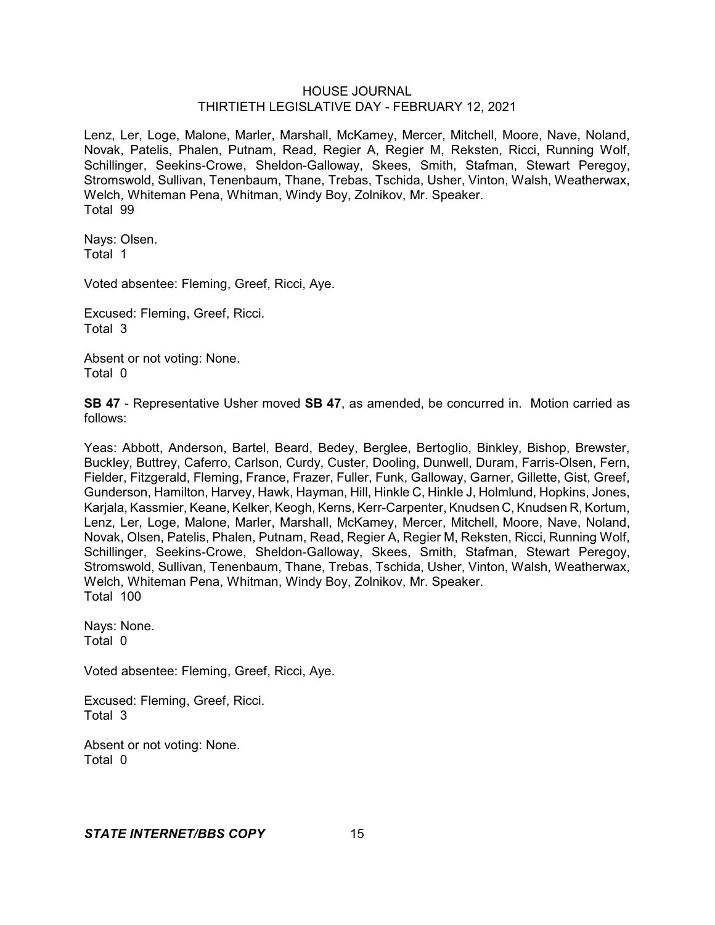Lenz, Ler, Loge, Malone, Marler, Marshall, McKamey, Mercer, Mitchell, Moore, Nave, Noland, Novak, Patelis, Phalen, Putnam, Read, Regier A, Regier M, Reksten, Ricci, Running Wolf, Schillinger, Seekins-Crowe, Sheldon-Galloway, Skees, Smith, Stafman, Stewart Peregoy, Stromswold, Sullivan, Tenenbaum, Thane, Trebas, Tschida, Usher, Vinton, Walsh, Weatherwax, Welch, Whiteman Pena, Whitman, Windy Boy, Zolnikov, Mr. Speaker. Total 99

Nays: Olsen. Total 1

Voted absentee: Fleming, Greef, Ricci, Aye.

Excused: Fleming, Greef, Ricci. Total 3

Absent or not voting: None. Total 0

**SB 47** - Representative Usher moved **SB 47**, as amended, be concurred in. Motion carried as follows:

Yeas: Abbott, Anderson, Bartel, Beard, Bedey, Berglee, Bertoglio, Binkley, Bishop, Brewster, Buckley, Buttrey, Caferro, Carlson, Curdy, Custer, Dooling, Dunwell, Duram, Farris-Olsen, Fern, Fielder, Fitzgerald, Fleming, France, Frazer, Fuller, Funk, Galloway, Garner, Gillette, Gist, Greef, Gunderson, Hamilton, Harvey, Hawk, Hayman, Hill, Hinkle C, Hinkle J, Holmlund, Hopkins, Jones, Karjala, Kassmier, Keane, Kelker, Keogh, Kerns, Kerr-Carpenter, Knudsen C, Knudsen R, Kortum, Lenz, Ler, Loge, Malone, Marler, Marshall, McKamey, Mercer, Mitchell, Moore, Nave, Noland, Novak, Olsen, Patelis, Phalen, Putnam, Read, Regier A, Regier M, Reksten, Ricci, Running Wolf, Schillinger, Seekins-Crowe, Sheldon-Galloway, Skees, Smith, Stafman, Stewart Peregoy, Stromswold, Sullivan, Tenenbaum, Thane, Trebas, Tschida, Usher, Vinton, Walsh, Weatherwax, Welch, Whiteman Pena, Whitman, Windy Boy, Zolnikov, Mr. Speaker. Total 100

Nays: None. Total 0

Voted absentee: Fleming, Greef, Ricci, Aye.

Excused: Fleming, Greef, Ricci. Total 3

Absent or not voting: None. Total 0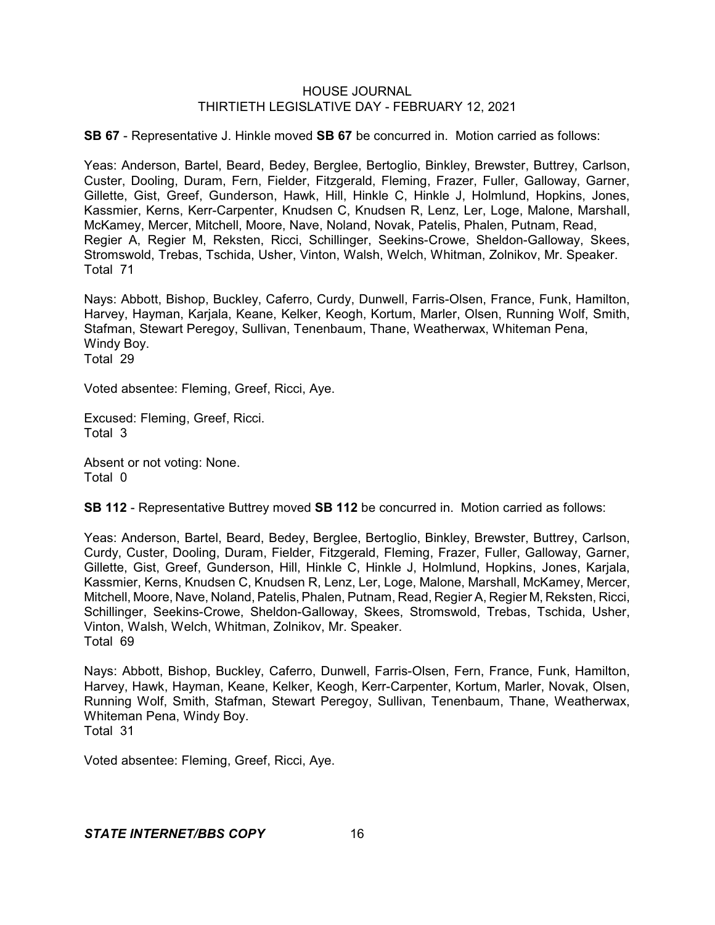**SB 67** - Representative J. Hinkle moved **SB 67** be concurred in. Motion carried as follows:

Yeas: Anderson, Bartel, Beard, Bedey, Berglee, Bertoglio, Binkley, Brewster, Buttrey, Carlson, Custer, Dooling, Duram, Fern, Fielder, Fitzgerald, Fleming, Frazer, Fuller, Galloway, Garner, Gillette, Gist, Greef, Gunderson, Hawk, Hill, Hinkle C, Hinkle J, Holmlund, Hopkins, Jones, Kassmier, Kerns, Kerr-Carpenter, Knudsen C, Knudsen R, Lenz, Ler, Loge, Malone, Marshall, McKamey, Mercer, Mitchell, Moore, Nave, Noland, Novak, Patelis, Phalen, Putnam, Read, Regier A, Regier M, Reksten, Ricci, Schillinger, Seekins-Crowe, Sheldon-Galloway, Skees, Stromswold, Trebas, Tschida, Usher, Vinton, Walsh, Welch, Whitman, Zolnikov, Mr. Speaker. Total 71

Nays: Abbott, Bishop, Buckley, Caferro, Curdy, Dunwell, Farris-Olsen, France, Funk, Hamilton, Harvey, Hayman, Karjala, Keane, Kelker, Keogh, Kortum, Marler, Olsen, Running Wolf, Smith, Stafman, Stewart Peregoy, Sullivan, Tenenbaum, Thane, Weatherwax, Whiteman Pena, Windy Boy. Total 29

Voted absentee: Fleming, Greef, Ricci, Aye.

Excused: Fleming, Greef, Ricci. Total 3

Absent or not voting: None. Total 0

**SB 112** - Representative Buttrey moved **SB 112** be concurred in. Motion carried as follows:

Yeas: Anderson, Bartel, Beard, Bedey, Berglee, Bertoglio, Binkley, Brewster, Buttrey, Carlson, Curdy, Custer, Dooling, Duram, Fielder, Fitzgerald, Fleming, Frazer, Fuller, Galloway, Garner, Gillette, Gist, Greef, Gunderson, Hill, Hinkle C, Hinkle J, Holmlund, Hopkins, Jones, Karjala, Kassmier, Kerns, Knudsen C, Knudsen R, Lenz, Ler, Loge, Malone, Marshall, McKamey, Mercer, Mitchell, Moore, Nave, Noland, Patelis, Phalen, Putnam, Read, Regier A, Regier M, Reksten, Ricci, Schillinger, Seekins-Crowe, Sheldon-Galloway, Skees, Stromswold, Trebas, Tschida, Usher, Vinton, Walsh, Welch, Whitman, Zolnikov, Mr. Speaker. Total 69

Nays: Abbott, Bishop, Buckley, Caferro, Dunwell, Farris-Olsen, Fern, France, Funk, Hamilton, Harvey, Hawk, Hayman, Keane, Kelker, Keogh, Kerr-Carpenter, Kortum, Marler, Novak, Olsen, Running Wolf, Smith, Stafman, Stewart Peregoy, Sullivan, Tenenbaum, Thane, Weatherwax, Whiteman Pena, Windy Boy. Total 31

Voted absentee: Fleming, Greef, Ricci, Aye.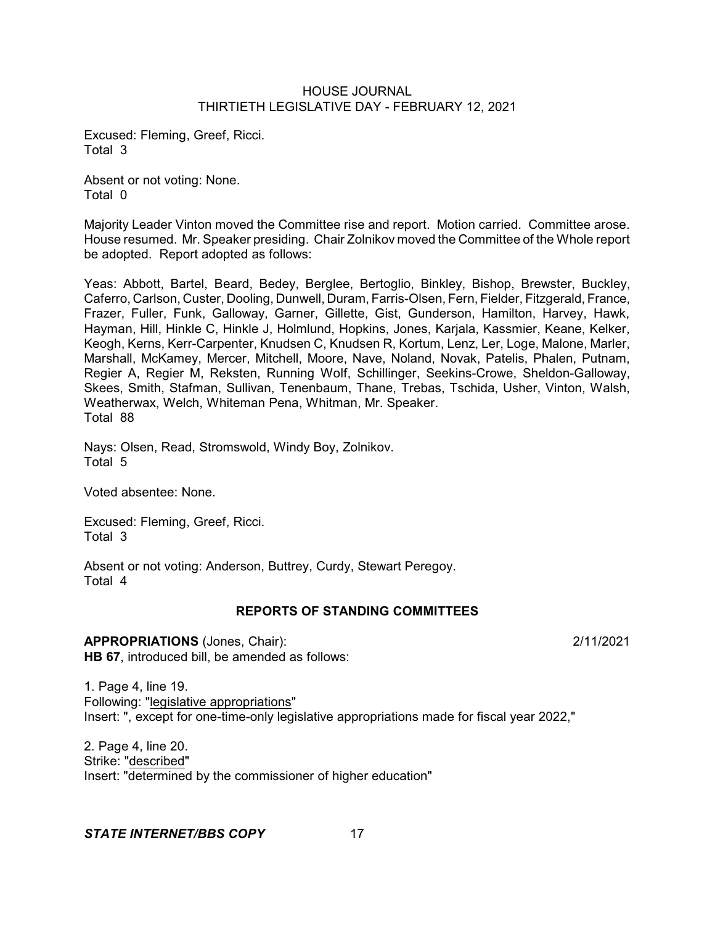Excused: Fleming, Greef, Ricci. Total 3

Absent or not voting: None. Total 0

Majority Leader Vinton moved the Committee rise and report. Motion carried. Committee arose. House resumed. Mr. Speaker presiding. Chair Zolnikov moved the Committee of the Whole report be adopted. Report adopted as follows:

Yeas: Abbott, Bartel, Beard, Bedey, Berglee, Bertoglio, Binkley, Bishop, Brewster, Buckley, Caferro, Carlson, Custer, Dooling, Dunwell, Duram, Farris-Olsen, Fern, Fielder, Fitzgerald, France, Frazer, Fuller, Funk, Galloway, Garner, Gillette, Gist, Gunderson, Hamilton, Harvey, Hawk, Hayman, Hill, Hinkle C, Hinkle J, Holmlund, Hopkins, Jones, Karjala, Kassmier, Keane, Kelker, Keogh, Kerns, Kerr-Carpenter, Knudsen C, Knudsen R, Kortum, Lenz, Ler, Loge, Malone, Marler, Marshall, McKamey, Mercer, Mitchell, Moore, Nave, Noland, Novak, Patelis, Phalen, Putnam, Regier A, Regier M, Reksten, Running Wolf, Schillinger, Seekins-Crowe, Sheldon-Galloway, Skees, Smith, Stafman, Sullivan, Tenenbaum, Thane, Trebas, Tschida, Usher, Vinton, Walsh, Weatherwax, Welch, Whiteman Pena, Whitman, Mr. Speaker. Total 88

Nays: Olsen, Read, Stromswold, Windy Boy, Zolnikov. Total 5

Voted absentee: None.

Excused: Fleming, Greef, Ricci. Total 3

Absent or not voting: Anderson, Buttrey, Curdy, Stewart Peregoy. Total 4

# **REPORTS OF STANDING COMMITTEES**

**APPROPRIATIONS** (Jones, Chair): 2/11/2021 **HB 67**, introduced bill, be amended as follows:

1. Page 4, line 19. Following: "legislative appropriations" Insert: ", except for one-time-only legislative appropriations made for fiscal year 2022,"

2. Page 4, line 20. Strike: "described" Insert: "determined by the commissioner of higher education"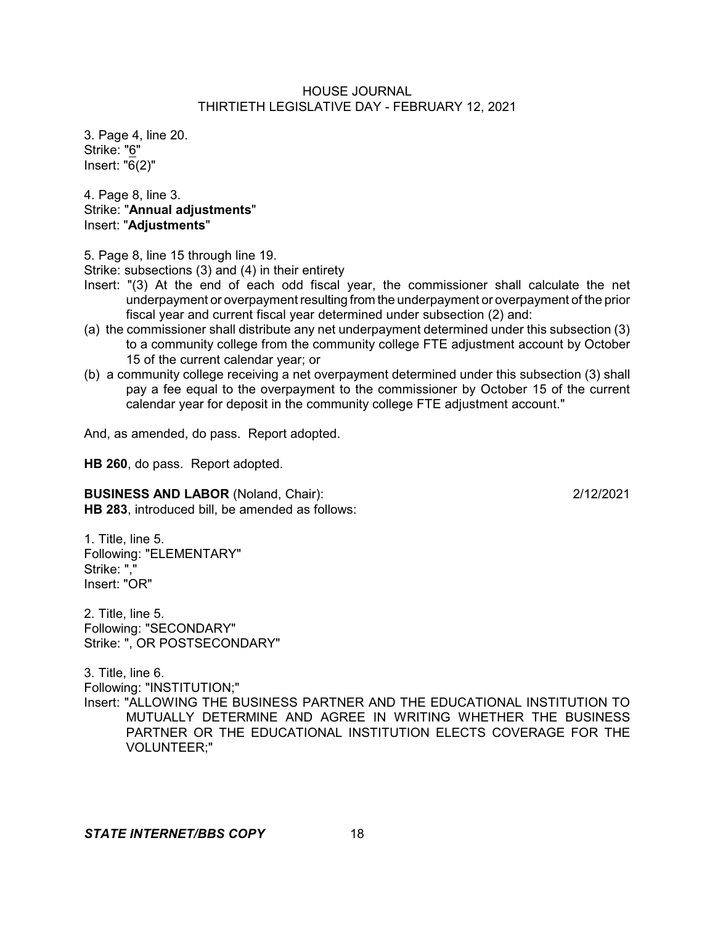3. Page 4, line 20. Strike: "6" Insert: "6(2)"

4. Page 8, line 3. Strike: "**Annual adjustments**" Insert: "**Adjustments**"

5. Page 8, line 15 through line 19.

Strike: subsections (3) and (4) in their entirety

- Insert: "(3) At the end of each odd fiscal year, the commissioner shall calculate the net underpayment or overpayment resulting from the underpayment or overpayment of the prior fiscal year and current fiscal year determined under subsection (2) and:
- (a) the commissioner shall distribute any net underpayment determined under this subsection (3) to a community college from the community college FTE adjustment account by October 15 of the current calendar year; or
- (b) a community college receiving a net overpayment determined under this subsection (3) shall pay a fee equal to the overpayment to the commissioner by October 15 of the current calendar year for deposit in the community college FTE adjustment account."

And, as amended, do pass. Report adopted.

**HB 260**, do pass. Report adopted.

# **BUSINESS AND LABOR** (Noland, Chair): 2/12/2021

**HB 283**, introduced bill, be amended as follows:

1. Title, line 5. Following: "ELEMENTARY" Strike: "," Insert: "OR"

2. Title, line 5. Following: "SECONDARY" Strike: ", OR POSTSECONDARY"

3. Title, line 6.

Following: "INSTITUTION;"

Insert: "ALLOWING THE BUSINESS PARTNER AND THE EDUCATIONAL INSTITUTION TO MUTUALLY DETERMINE AND AGREE IN WRITING WHETHER THE BUSINESS PARTNER OR THE EDUCATIONAL INSTITUTION ELECTS COVERAGE FOR THE VOLUNTEER;"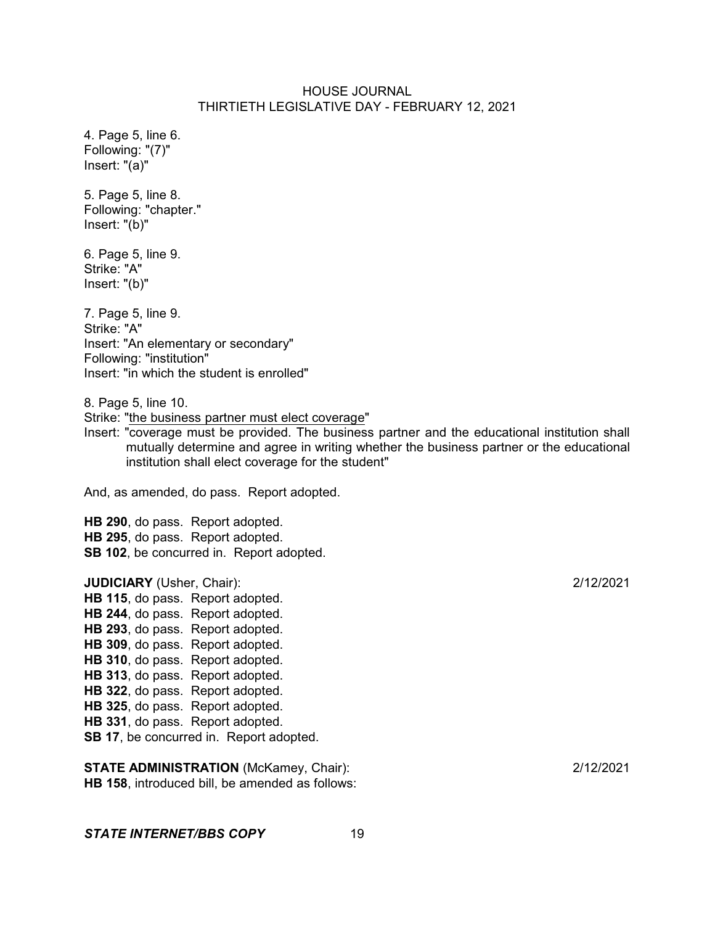4. Page 5, line 6. Following: "(7)" Insert: "(a)" 5. Page 5, line 8. Following: "chapter." Insert: "(b)" 6. Page 5, line 9. Strike: "A" Insert: "(b)" 7. Page 5, line 9. Strike: "A" Insert: "An elementary or secondary" Following: "institution" Insert: "in which the student is enrolled" 8. Page 5, line 10. Strike: "the business partner must elect coverage" Insert: "coverage must be provided. The business partner and the educational institution shall mutually determine and agree in writing whether the business partner or the educational institution shall elect coverage for the student" And, as amended, do pass. Report adopted. **HB 290**, do pass. Report adopted. **HB 295**, do pass. Report adopted. **SB 102**, be concurred in. Report adopted. **JUDICIARY** (Usher, Chair): 2/12/2021 **HB 115**, do pass. Report adopted. **HB 244**, do pass. Report adopted. **HB 293**, do pass. Report adopted. **HB 309**, do pass. Report adopted. **HB 310**, do pass. Report adopted. **HB 313**, do pass. Report adopted. **HB 322**, do pass. Report adopted. **HB 325**, do pass. Report adopted. **HB 331**, do pass. Report adopted. **SB 17**, be concurred in. Report adopted.

**STATE ADMINISTRATION** (McKamey, Chair): 2/12/2021 **HB 158**, introduced bill, be amended as follows: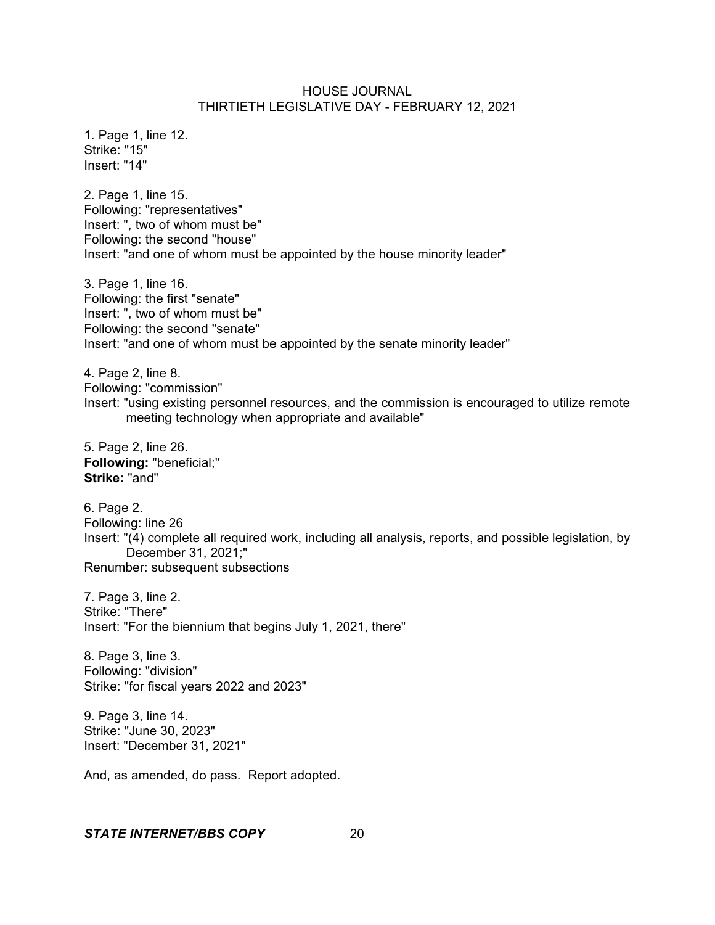1. Page 1, line 12. Strike: "15" Insert: "14"

2. Page 1, line 15. Following: "representatives" Insert: ", two of whom must be" Following: the second "house" Insert: "and one of whom must be appointed by the house minority leader"

3. Page 1, line 16. Following: the first "senate" Insert: ", two of whom must be" Following: the second "senate" Insert: "and one of whom must be appointed by the senate minority leader"

4. Page 2, line 8. Following: "commission" Insert: "using existing personnel resources, and the commission is encouraged to utilize remote meeting technology when appropriate and available"

5. Page 2, line 26. **Following:** "beneficial;" **Strike:** "and"

6. Page 2. Following: line 26 Insert: "(4) complete all required work, including all analysis, reports, and possible legislation, by December 31, 2021;" Renumber: subsequent subsections

7. Page 3, line 2. Strike: "There" Insert: "For the biennium that begins July 1, 2021, there"

8. Page 3, line 3. Following: "division" Strike: "for fiscal years 2022 and 2023"

9. Page 3, line 14. Strike: "June 30, 2023" Insert: "December 31, 2021"

And, as amended, do pass. Report adopted.